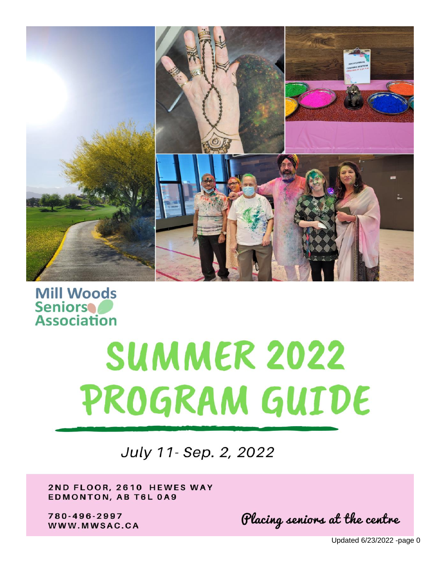

**Mill Woods Seniors Association** 

# **SUMMER 2022** PROGRAM GUIDE

July 11- Sep. 2, 2022

2ND FLOOR, 2610 HEWES WAY **EDMONTON, AB T6L 0A9** 

780-496-2997 WWW.MWSAC.CA

Placing seniors at the centre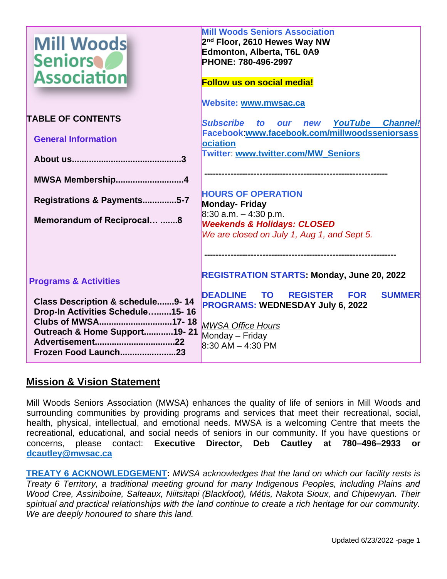| <b>Mill Woods</b><br><b>Seniors</b><br><b>Association</b>            | <b>Mill Woods Seniors Association</b><br>2 <sup>nd</sup> Floor, 2610 Hewes Way NW<br>Edmonton, Alberta, T6L 0A9<br>PHONE: 780-496-2997<br><b>Follow us on social media!</b> |  |  |
|----------------------------------------------------------------------|-----------------------------------------------------------------------------------------------------------------------------------------------------------------------------|--|--|
|                                                                      | Website: www.mwsac.ca                                                                                                                                                       |  |  |
| <b>TABLE OF CONTENTS</b>                                             | <b>Subscribe</b><br>YouTube<br><b>Channel!</b><br>to<br>new<br>O <sub>III</sub>                                                                                             |  |  |
| <b>General Information</b>                                           | Facebook:www.facebook.com/millwoodsseniorsass<br><b>lociation</b>                                                                                                           |  |  |
|                                                                      | Twitter: www.twitter.com/MW_Seniors                                                                                                                                         |  |  |
| MWSA Membership4                                                     |                                                                                                                                                                             |  |  |
| Registrations & Payments5-7                                          | <b>HOURS OF OPERATION</b><br>Monday- Friday<br>$8:30$ a.m. $-4:30$ p.m.                                                                                                     |  |  |
| Memorandum of Reciprocal 8                                           | <b>Weekends &amp; Holidays: CLOSED</b><br>We are closed on July 1, Aug 1, and Sept 5.                                                                                       |  |  |
|                                                                      |                                                                                                                                                                             |  |  |
| <b>Programs &amp; Activities</b>                                     | <b>REGISTRATION STARTS: Monday, June 20, 2022</b>                                                                                                                           |  |  |
| Class Description & schedule9-14<br>Drop-In Activities Schedule15-16 | <b>DEADLINE TO</b><br><b>REGISTER</b><br><b>SUMMER</b><br><b>FOR</b><br><b>PROGRAMS: WEDNESDAY July 6, 2022</b>                                                             |  |  |
| Clubs of MWSA17-18<br>Outreach & Home Support19-21                   | <b>MWSA Office Hours</b><br>Monday - Friday                                                                                                                                 |  |  |
| Frozen Food Launch23                                                 | $8:30$ AM $-$ 4:30 PM                                                                                                                                                       |  |  |

# **Mission & Vision Statement**

Mill Woods Seniors Association (MWSA) enhances the quality of life of seniors in Mill Woods and surrounding communities by providing programs and services that meet their recreational, social, health, physical, intellectual, and emotional needs. MWSA is a welcoming Centre that meets the recreational, educational, and social needs of seniors in our community. If you have questions or concerns, please contact: **Executive Director, Deb Cautley at 780–496–2933 or [dcautley@mwsac.ca](mailto:dcautley@mwsac.ca)**

**TREATY 6 ACKNOWLEDGEMENT:** *MWSA acknowledges that the land on which our facility rests is Treaty 6 Territory, a traditional meeting ground for many Indigenous Peoples, including Plains and Wood Cree, Assiniboine, Salteaux, Niitsitapi (Blackfoot), Métis, Nakota Sioux, and Chipewyan. Their spiritual and practical relationships with the land continue to create a rich heritage for our community. We are deeply honoured to share this land.*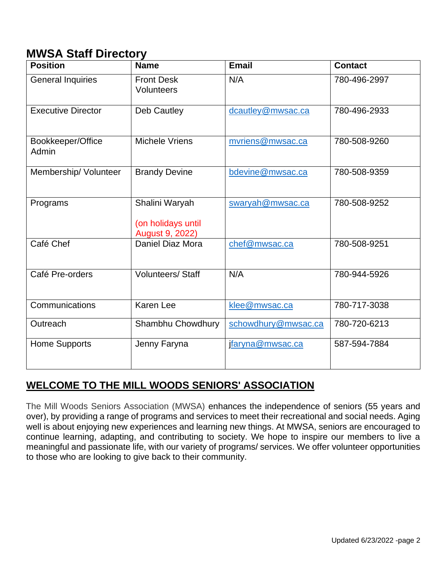# **MWSA Staff Directory**

| <b>Position</b>            | <b>Name</b>                                             | <b>Email</b>        | <b>Contact</b> |
|----------------------------|---------------------------------------------------------|---------------------|----------------|
| <b>General Inquiries</b>   | <b>Front Desk</b><br>Volunteers                         | N/A                 | 780-496-2997   |
| <b>Executive Director</b>  | Deb Cautley                                             | dcautley@mwsac.ca   | 780-496-2933   |
| Bookkeeper/Office<br>Admin | <b>Michele Vriens</b>                                   | mvriens@mwsac.ca    | 780-508-9260   |
| Membership/ Volunteer      | <b>Brandy Devine</b>                                    | bdevine@mwsac.ca    | 780-508-9359   |
| Programs                   | Shalini Waryah<br>(on holidays until<br>August 9, 2022) | swaryah@mwsac.ca    | 780-508-9252   |
| Café Chef                  | <b>Daniel Diaz Mora</b>                                 | chef@mwsac.ca       | 780-508-9251   |
| Café Pre-orders            | <b>Volunteers/Staff</b>                                 | N/A                 | 780-944-5926   |
| Communications             | <b>Karen Lee</b>                                        | klee@mwsac.ca       | 780-717-3038   |
| Outreach                   | Shambhu Chowdhury                                       | schowdhury@mwsac.ca | 780-720-6213   |
| <b>Home Supports</b>       | Jenny Faryna                                            | faryna@mwsac.ca     | 587-594-7884   |

# **WELCOME TO THE MILL WOODS SENIORS' ASSOCIATION**

The Mill Woods Seniors Association (MWSA) enhances the independence of seniors (55 years and over), by providing a range of programs and services to meet their recreational and social needs. Aging well is about enjoying new experiences and learning new things. At MWSA, seniors are encouraged to continue learning, adapting, and contributing to society. We hope to inspire our members to live a meaningful and passionate life, with our variety of programs/ services. We offer volunteer opportunities to those who are looking to give back to their community.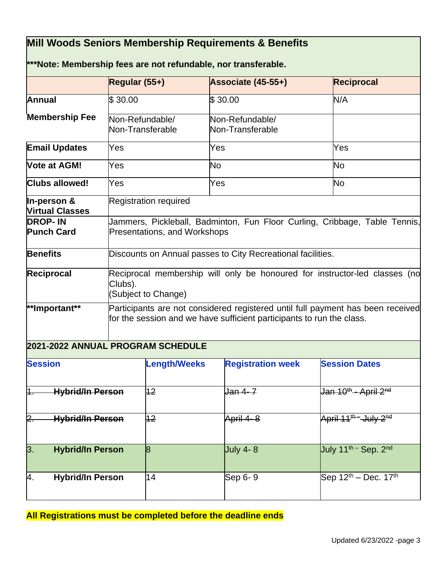# **Mill Woods Seniors Membership Requirements & Benefits \*\*\*Note: Membership fees are not refundable, nor transferable. Regular (55+) Associate (45-55+) Reciprocal Annual Membership Fee**  $$30.00$   $$30.00$   $N/A$ Non-Refundable/ Non-Transferable Non-Refundable/ Non-Transferable **Email Updates** Yes Yes Yes Yes Yes **Vote at AGM!** Nes No No No No No No No **Clubs allowed!** Yes Yes Yes No **In-person & Virtual Classes** Registration required **DROP- IN Punch Card**  Jammers, Pickleball, Badminton, Fun Floor Curling, Cribbage, Table Tennis, Presentations, and Workshops **Benefits Discounts on Annual passes to City Recreational facilities. Reciprocal**  Reciprocal membership will only be honoured for instructor-led classes (no Clubs). (Subject to Change) **\*\*Important\*\*** Participants are not considered registered until full payment has been received for the session and we have sufficient participants to run the class. **2021-2022 ANNUAL PROGRAM SCHEDULE Session Length/Weeks Registration week Session Dates**

| <b>Session</b>   |                         | <b>Length/Weeks</b> | <b>Registration week</b> | <b>Session Dates</b>                         |
|------------------|-------------------------|---------------------|--------------------------|----------------------------------------------|
| 1.               | <b>Hybrid/In Person</b> | $12 \,$             | <u> Jan 4- 7</u>         | Uan 10 <sup>th</sup> - April 2 <sup>nd</sup> |
| h                | <b>Hybrid/In Person</b> | 12                  | April 4-8                | April $11^{th}$ July $2^{nd}$                |
| $\overline{3}$ . | <b>Hybrid/In Person</b> | 18                  | <b>July 4-8</b>          | July 11 <sup>th -</sup> Sep. 2 <sup>nd</sup> |
| 4.               | <b>Hybrid/In Person</b> | 14                  | Sep 6-9                  | Sep $12^{th}$ – Dec. 17 <sup>th</sup>        |

**All Registrations must be completed before the deadline ends**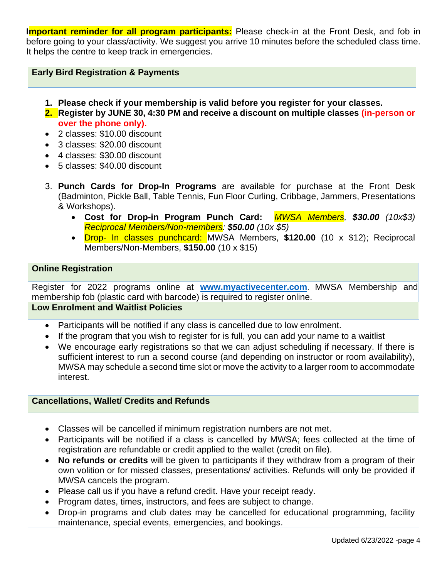**Important reminder for all program participants:** Please check-in at the Front Desk, and fob in before going to your class/activity. We suggest you arrive 10 minutes before the scheduled class time. It helps the centre to keep track in emergencies.

# **Early Bird Registration & Payments**

- **1. Please check if your membership is valid before you register for your classes.**
- **2. Register by JUNE 30, 4:30 PM and receive a discount on multiple classes (in-person or over the phone only).**
- 2 classes: \$10.00 discount
- 3 classes: \$20.00 discount
- 4 classes: \$30.00 discount
- 5 classes: \$40.00 discount
- 3. **Punch Cards for Drop-In Programs** are available for purchase at the Front Desk (Badminton, Pickle Ball, Table Tennis, Fun Floor Curling, Cribbage, Jammers, Presentations & Workshops).
	- **Cost for Drop-in Program Punch Card:** *MWSA Members, \$30.00 (10x\$3) Reciprocal Members/Non-members: \$50.00 (10x \$5)*
	- Drop- In classes punchcard: MWSA Members, **\$120.00** (10 x \$12); Reciprocal Members/Non-Members, **\$150.00** (10 x \$15)

#### **Online Registration**

Register for 2022 programs online at **[www.myactivecenter.com](http://www.myactivecenter.com/)**. MWSA Membership and membership fob (plastic card with barcode) is required to register online.

#### **Low Enrolment and Waitlist Policies**

- Participants will be notified if any class is cancelled due to low enrolment.
- If the program that you wish to register for is full, you can add your name to a waitlist
- We encourage early registrations so that we can adjust scheduling if necessary. If there is sufficient interest to run a second course (and depending on instructor or room availability), MWSA may schedule a second time slot or move the activity to a larger room to accommodate interest.

#### **Cancellations, Wallet/ Credits and Refunds**

- Classes will be cancelled if minimum registration numbers are not met.
- Participants will be notified if a class is cancelled by MWSA; fees collected at the time of registration are refundable or credit applied to the wallet (credit on file).
- **No refunds or credits** will be given to participants if they withdraw from a program of their own volition or for missed classes, presentations/ activities. Refunds will only be provided if MWSA cancels the program.
- Please call us if you have a refund credit. Have your receipt ready.
- Program dates, times, instructors, and fees are subject to change.
- Drop-in programs and club dates may be cancelled for educational programming, facility maintenance, special events, emergencies, and bookings.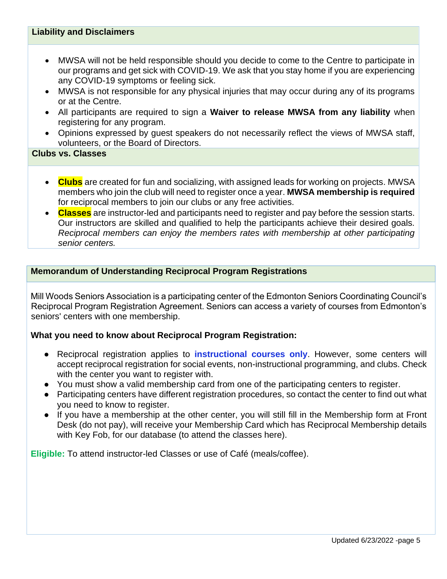#### **Liability and Disclaimers**

- MWSA will not be held responsible should you decide to come to the Centre to participate in our programs and get sick with COVID-19. We ask that you stay home if you are experiencing any COVID-19 symptoms or feeling sick.
- MWSA is not responsible for any physical injuries that may occur during any of its programs or at the Centre.
- All participants are required to sign a **Waiver to release MWSA from any liability** when registering for any program.
- Opinions expressed by guest speakers do not necessarily reflect the views of MWSA staff, volunteers, or the Board of Directors.

#### **Clubs vs. Classes**

- **Clubs** are created for fun and socializing, with assigned leads for working on projects. MWSA members who join the club will need to register once a year. **MWSA membership is required** for reciprocal members to join our clubs or any free activities.
- **Classes** are instructor-led and participants need to register and pay before the session starts. Our instructors are skilled and qualified to help the participants achieve their desired goals. *Reciprocal members can enjoy the members rates with membership at other participating senior centers.*

#### **Memorandum of Understanding Reciprocal Program Registrations**

Mill Woods Seniors Association is a participating center of the Edmonton Seniors Coordinating Council's Reciprocal Program Registration Agreement. Seniors can access a variety of courses from Edmonton's seniors' centers with one membership.

#### **What you need to know about Reciprocal Program Registration:**

- Reciprocal registration applies to **instructional courses only**. However, some centers will accept reciprocal registration for social events, non-instructional programming, and clubs. Check with the center you want to register with.
- You must show a valid membership card from one of the participating centers to register.
- Participating centers have different registration procedures, so contact the center to find out what you need to know to register.
- If you have a membership at the other center, you will still fill in the Membership form at Front Desk (do not pay), will receive your Membership Card which has Reciprocal Membership details with Key Fob, for our database (to attend the classes here).

**Eligible:** To attend instructor-led Classes or use of Café (meals/coffee).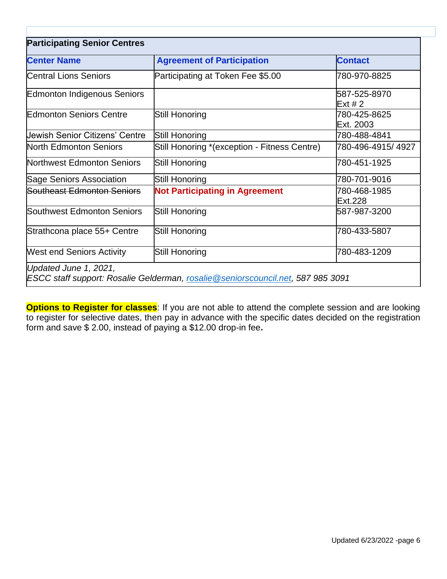| <b>Participating Senior Centres</b> |                                                                                  |                           |  |  |
|-------------------------------------|----------------------------------------------------------------------------------|---------------------------|--|--|
| <b>Center Name</b>                  | <b>Agreement of Participation</b>                                                | <b>Contact</b>            |  |  |
| <b>Central Lions Seniors</b>        | Participating at Token Fee \$5.00                                                | 780-970-8825              |  |  |
| Edmonton Indigenous Seniors         |                                                                                  | 587-525-8970<br>Ext#2     |  |  |
| <b>Edmonton Seniors Centre</b>      | Still Honoring                                                                   | 780-425-8625<br>Ext. 2003 |  |  |
| Jewish Senior Citizens' Centre      | Still Honoring                                                                   | 780-488-4841              |  |  |
| North Edmonton Seniors              | Still Honoring *(exception - Fitness Centre)                                     | 780-496-4915/4927         |  |  |
| Northwest Edmonton Seniors          | <b>Still Honoring</b>                                                            | 780-451-1925              |  |  |
| Sage Seniors Association            | Still Honoring                                                                   | 780-701-9016              |  |  |
| Southeast Edmonton Seniors          | <b>Not Participating in Agreement</b>                                            | 780-468-1985<br>Ext.228   |  |  |
| Southwest Edmonton Seniors          | Still Honoring                                                                   | 587-987-3200              |  |  |
| Strathcona place 55+ Centre         | Still Honoring                                                                   | 780-433-5807              |  |  |
| <b>West end Seniors Activity</b>    | Still Honoring                                                                   | 780-483-1209              |  |  |
| Updated June 1, 2021,               | ESCC staff support: Rosalie Gelderman, rosalie @seniorscouncil.net, 587 985 3091 |                           |  |  |

**Options to Register for classes**: If you are not able to attend the complete session and are looking to register for selective dates, then pay in advance with the specific dates decided on the registration form and save \$ 2.00, instead of paying a \$12.00 drop-in fee**.**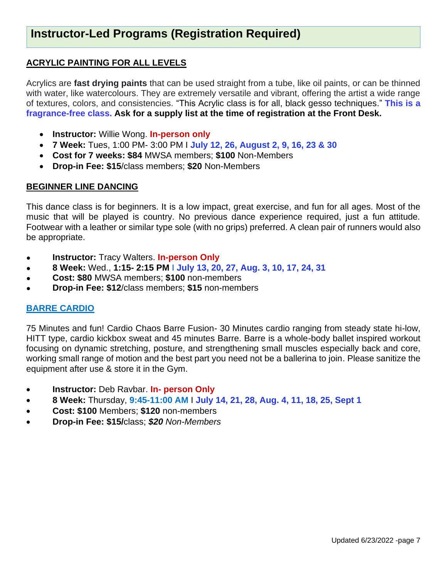# **ACRYLIC PAINTING FOR ALL LEVELS**

Acrylics are **fast drying paints** that can be used straight from a tube, like oil paints, or can be thinned with water, like watercolours. They are extremely versatile and vibrant, offering the artist a wide range of textures, colors, and consistencies. "This Acrylic class is for all, black gesso techniques." **This is a fragrance-free class. Ask for a supply list at the time of registration at the Front Desk.**

- **Instructor:** Willie Wong. **In-person only**
- **7 Week:** Tues, 1:00 PM- 3:00 PM I **July 12, 26, August 2, 9, 16, 23 & 30**
- **Cost for 7 weeks: \$84** MWSA members; **\$100** Non-Members
- **Drop-in Fee: \$15**/class members; **\$20** Non-Members

# **BEGINNER LINE DANCING**

This dance class is for beginners. It is a low impact, great exercise, and fun for all ages. Most of the music that will be played is country. No previous dance experience required, just a fun attitude. Footwear with a leather or similar type sole (with no grips) preferred. A clean pair of runners would also be appropriate.

- **Instructor: Tracy Walters. In-person Only**
- **8 Week:** Wed., **1:15- 2:15 PM I July 13, 20, 27, Aug. 3, 10, 17, 24, 31**
- **Cost: \$80** MWSA members; **\$100** non-members
- **Drop-in Fee: \$12**/class members; **\$15** non-members

# **BARRE CARDIO**

75 Minutes and fun! Cardio Chaos Barre Fusion- 30 Minutes cardio ranging from steady state hi-low, HITT type, cardio kickbox sweat and 45 minutes Barre. Barre is a whole-body ballet inspired workout focusing on dynamic stretching, posture, and strengthening small muscles especially back and core, working small range of motion and the best part you need not be a ballerina to join. Please sanitize the equipment after use & store it in the Gym.

- **Instructor:** Deb Ravbar. **In- person Only**
- **8 Week:** Thursday, **9:45-11:00 AM** I **July 14, 21, 28, Aug. 4, 11, 18, 25, Sept 1**
- **Cost: \$100** Members; **\$120** non-members
- **Drop-in Fee: \$15/**class; *\$20 Non-Members*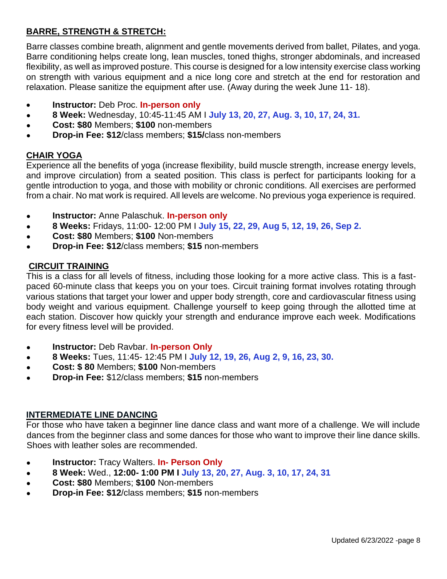# **BARRE, STRENGTH & STRETCH:**

Barre classes combine breath, alignment and gentle movements derived from ballet, Pilates, and yoga. Barre conditioning helps create long, lean muscles, toned thighs, stronger abdominals, and increased flexibility, as well as improved posture. This course is designed for a low intensity exercise class working on strength with various equipment and a nice long core and stretch at the end for restoration and relaxation. Please sanitize the equipment after use. (Away during the week June 11- 18).

- **Instructor:** Deb Proc. **In-person only**
- **8 Week:** Wednesday, 10:45-11:45 AM I **July 13, 20, 27, Aug. 3, 10, 17, 24, 31.**
- **Cost: \$80** Members; **\$100** non-members
- **Drop-in Fee: \$12**/class members; **\$15/**class non-members

# **CHAIR YOGA**

Experience all the benefits of yoga (increase flexibility, build muscle strength, increase energy levels, and improve circulation) from a seated position. This class is perfect for participants looking for a gentle introduction to yoga, and those with mobility or chronic conditions. All exercises are performed from a chair. No mat work is required. All levels are welcome. No previous yoga experience is required.

- **Instructor:** Anne Palaschuk. **In-person only**
- **8 Weeks:** Fridays, 11:00- 12:00 PM I **July 15, 22, 29, Aug 5, 12, 19, 26, Sep 2.**
- **Cost: \$80** Members; **\$100** Non-members
- **Drop-in Fee: \$12**/class members; **\$15** non-members

# **CIRCUIT TRAINING**

This is a class for all levels of fitness, including those looking for a more active class. This is a fastpaced 60-minute class that keeps you on your toes. Circuit training format involves rotating through various stations that target your lower and upper body strength, core and cardiovascular fitness using body weight and various equipment. Challenge yourself to keep going through the allotted time at each station. Discover how quickly your strength and endurance improve each week. Modifications for every fitness level will be provided.

- **Instructor:** Deb Ravbar. **In-person Only**
- **8 Weeks:** Tues, 11:45- 12:45 PM I **July 12, 19, 26, Aug 2, 9, 16, 23, 30.**
- **Cost: \$ 80** Members; **\$100** Non-members
- **Drop-in Fee:** \$12/class members; **\$15** non-members

#### **INTERMEDIATE LINE DANCING**

For those who have taken a beginner line dance class and want more of a challenge. We will include dances from the beginner class and some dances for those who want to improve their line dance skills. Shoes with leather soles are recommended.

- **Instructor: Tracy Walters. In- Person Only**
- **8 Week:** Wed., **12:00- 1:00 PM I July 13, 20, 27, Aug. 3, 10, 17, 24, 31**
- **Cost: \$80** Members; **\$100** Non-members
- **Drop-in Fee: \$12**/class members; **\$15** non-members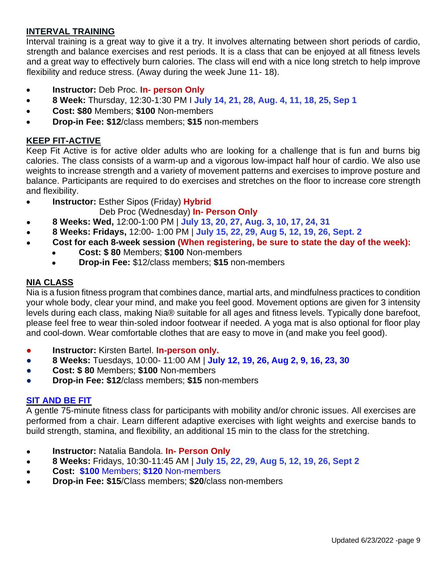# **INTERVAL TRAINING**

Interval training is a great way to give it a try. It involves alternating between short periods of cardio, strength and balance exercises and rest periods. It is a class that can be enjoyed at all fitness levels and a great way to effectively burn calories. The class will end with a nice long stretch to help improve flexibility and reduce stress. (Away during the week June 11- 18).

- **Instructor:** Deb Proc. **In- person Only**
- **8 Week:** Thursday, 12:30-1:30 PM I **July 14, 21, 28, Aug. 4, 11, 18, 25, Sep 1**
- **Cost: \$80** Members; **\$100** Non-members
- **Drop-in Fee: \$12**/class members; **\$15** non-members

#### **KEEP FIT-ACTIVE**

Keep Fit Active is for active older adults who are looking for a challenge that is fun and burns big calories. The class consists of a warm-up and a vigorous low-impact half hour of cardio. We also use weights to increase strength and a variety of movement patterns and exercises to improve posture and balance. Participants are required to do exercises and stretches on the floor to increase core strength and flexibility.

• **Instructor:** Esther Sipos (Friday) **Hybrid**

#### Deb Proc (Wednesday) **In- Person Only**

- **8 Weeks: Wed,** 12:00-1:00 PM | **July 13, 20, 27, Aug. 3, 10, 17, 24, 31**
- **8 Weeks: Fridays,** 12:00- 1:00 PM | **July 15, 22, 29, Aug 5, 12, 19, 26, Sept. 2**
- **Cost for each 8-week session (When registering, be sure to state the day of the week):**
	- **Cost: \$ 80** Members; **\$100** Non-members
	- **Drop-in Fee:** \$12/class members; **\$15** non-members

#### **NIA CLASS**

Nia is a fusion fitness program that combines dance, martial arts, and mindfulness practices to condition your whole body, clear your mind, and make you feel good. Movement options are given for 3 intensity levels during each class, making Nia® suitable for all ages and fitness levels. Typically done barefoot, please feel free to wear thin-soled indoor footwear if needed. A yoga mat is also optional for floor play and cool-down. Wear comfortable clothes that are easy to move in (and make you feel good).

- **Instructor:** Kirsten Bartel. **In-person only.**
- **8 Weeks:** Tuesdays, 10:00- 11:00 AM | **July 12, 19, 26, Aug 2, 9, 16, 23, 30**
- **Cost: \$ 80** Members; **\$100** Non-members
- **Drop-in Fee: \$12**/class members; **\$15** non-members

#### **SIT AND BE FIT**

A gentle 75-minute fitness class for participants with mobility and/or chronic issues. All exercises are performed from a chair. Learn different adaptive exercises with light weights and exercise bands to build strength, stamina, and flexibility, an additional 15 min to the class for the stretching.

- **Instructor:** Natalia Bandola. **In- Person Only**
- **8 Weeks:** Fridays, 10:30-11:45 AM | **July 15, 22, 29, Aug 5, 12, 19, 26, Sept 2**
- **Cost: \$100** Members; **\$120** Non-members
- **Drop-in Fee: \$15**/Class members; **\$20**/class non-members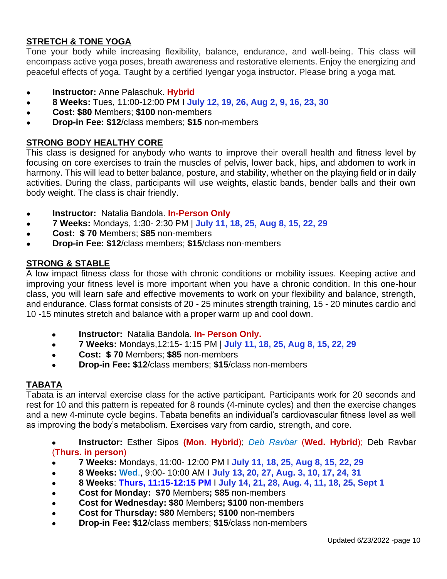# **STRETCH & TONE YOGA**

Tone your body while increasing flexibility, balance, endurance, and well-being. This class will encompass active yoga poses, breath awareness and restorative elements. Enjoy the energizing and peaceful effects of yoga. Taught by a certified Iyengar yoga instructor. Please bring a yoga mat.

- **Instructor:** Anne Palaschuk. **Hybrid**
- **8 Weeks:** Tues, 11:00-12:00 PM I **July 12, 19, 26, Aug 2, 9, 16, 23, 30**
- **Cost: \$80** Members; **\$100** non-members
- **Drop-in Fee: \$12**/class members; **\$15** non-members

# **STRONG BODY HEALTHY CORE**

This class is designed for anybody who wants to improve their overall health and fitness level by focusing on core exercises to train the muscles of pelvis, lower back, hips, and abdomen to work in harmony. This will lead to better balance, posture, and stability, whether on the playing field or in daily activities. During the class, participants will use weights, elastic bands, bender balls and their own body weight. The class is chair friendly.

- **Instructor:** Natalia Bandola. **In-Person Only**
- **7 Weeks:** Mondays, 1:30- 2:30 PM | **July 11, 18, 25, Aug 8, 15, 22, 29**
- **Cost: \$ 70** Members; **\$85** non-members
- **Drop-in Fee: \$12**/class members; **\$15**/class non-members

# **STRONG & STABLE**

A low impact fitness class for those with chronic conditions or mobility issues. Keeping active and improving your fitness level is more important when you have a chronic condition. In this one-hour class, you will learn safe and effective movements to work on your flexibility and balance, strength, and endurance. Class format consists of 20 - 25 minutes strength training, 15 - 20 minutes cardio and 10 -15 minutes stretch and balance with a proper warm up and cool down.

- **Instructor:** Natalia Bandola. **In- Person Only.**
- **7 Weeks:** Mondays,12:15- 1:15 PM | **July 11, 18, 25, Aug 8, 15, 22, 29**
- **Cost: \$ 70** Members; **\$85** non-members
- **Drop-in Fee: \$12**/class members; **\$15**/class non-members

# **TABATA**

Tabata is an interval exercise class for the active participant. Participants work for 20 seconds and rest for 10 and this pattern is repeated for 8 rounds (4-minute cycles) and then the exercise changes and a new 4-minute cycle begins. Tabata benefits an individual's cardiovascular fitness level as well as improving the body's metabolism. Exercises vary from cardio, strength, and core.

● **Instructor:** Esther Sipos **(Mon**. **Hybrid**); *Deb Ravbar* (**Wed. Hybrid**); Deb Ravbar (**Thurs. in person**)

- **7 Weeks:** Mondays, 11:00- 12:00 PM I **July 11, 18, 25, Aug 8, 15, 22, 29**
- **8 Weeks: Wed**., 9:00- 10:00 AM I **July 13, 20, 27, Aug. 3, 10, 17, 24, 31**
- **8 Weeks**: **Thurs, 11:15-12:15 PM** I **July 14, 21, 28, Aug. 4, 11, 18, 25, Sept 1**
- **Cost for Monday: \$70** Members**; \$85** non-members
- **Cost for Wednesday: \$80** Members**; \$100** non-members
- **Cost for Thursday: \$80** Members**; \$100** non-members
- **Drop-in Fee: \$12**/class members; **\$15**/class non-members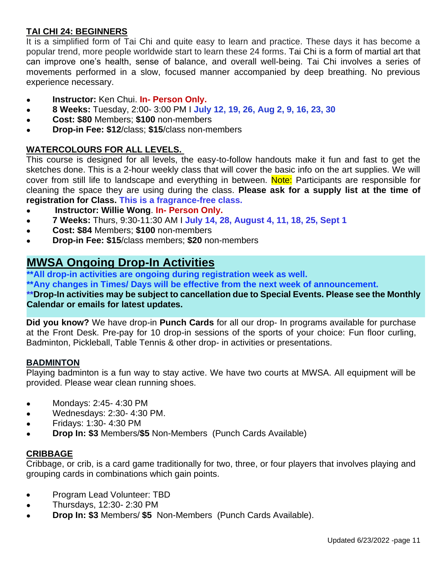# **TAI CHI 24: BEGINNERS**

It is a simplified form of Tai Chi and quite easy to learn and practice. These days it has become a popular trend, more people worldwide start to learn these 24 forms. Tai Chi is a form of martial art that can improve one's health, sense of balance, and overall well-being. Tai Chi involves a series of movements performed in a slow, focused manner accompanied by deep breathing. No previous experience necessary.

- **Instructor:** Ken Chui. **In- Person Only.**
- **8 Weeks:** Tuesday, 2:00- 3:00 PM I **July 12, 19, 26, Aug 2, 9, 16, 23, 30**
- **Cost: \$80** Members; **\$100** non-members
- **Drop-in Fee: \$12**/class; **\$15**/class non-members

# **WATERCOLOURS FOR ALL LEVELS.**

This course is designed for all levels, the easy-to-follow handouts make it fun and fast to get the sketches done. This is a 2-hour weekly class that will cover the basic info on the art supplies. We will cover from still life to landscape and everything in between. Note: Participants are responsible for cleaning the space they are using during the class. **Please ask for a supply list at the time of registration for Class. This is a fragrance-free class.**

- **Instructor: Willie Wong. In- Person Only.**
- **7 Weeks:** Thurs, 9:30-11:30 AM I **July 14, 28, August 4, 11, 18, 25, Sept 1**
- **Cost: \$84** Members; **\$100** non-members
- **Drop-in Fee: \$15/class members; \$20 non-members**

# **MWSA Ongoing Drop-In Activities**

**\*\*All drop-in activities are ongoing during registration week as well. \*\*Any changes in Times/ Days will be effective from the next week of announcement. \*\*Drop-In activities may be subject to cancellation due to Special Events. Please see the Monthly Calendar or emails for latest updates.**

**Did you know?** We have drop-in **Punch Cards** for all our drop- In programs available for purchase at the Front Desk. Pre-pay for 10 drop-in sessions of the sports of your choice: Fun floor curling, Badminton, Pickleball, Table Tennis & other drop- in activities or presentations.

#### **BADMINTON**

Playing badminton is a fun way to stay active. We have two courts at MWSA. All equipment will be provided. Please wear clean running shoes.

- *●* Mondays: 2:45- 4:30 PM
- *●* Wednesdays: 2:30- 4:30 PM.
- *●* Fridays: 1:30- 4:30 PM
- *●* **Drop In: \$3** Members/**\$5** Non-Members (Punch Cards Available)

#### **CRIBBAGE**

Cribbage, or crib, is a card game traditionally for two, three, or four players that involves playing and grouping cards in combinations which gain points.

- Program Lead Volunteer: TBD
- **●** Thursdays, 12:30- 2:30 PM
- **● Drop In: \$3** Members/ **\$5** Non-Members (Punch Cards Available).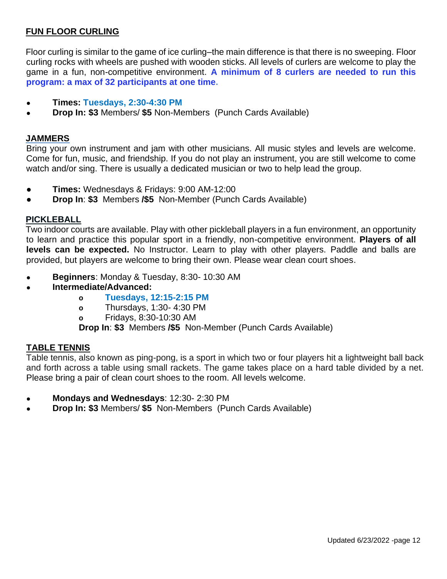# **FUN FLOOR CURLING**

Floor curling is similar to the game of ice curling–the main difference is that there is no sweeping. Floor curling rocks with wheels are pushed with wooden sticks. All levels of curlers are welcome to play the game in a fun, non-competitive environment. **A minimum of 8 curlers are needed to run this program: a max of 32 participants at one time.** 

- **● Times: Tuesdays, 2:30-4:30 PM**
- **Drop In: \$3 Members/ \$5 Non-Members (Punch Cards Available)**

#### **JAMMERS**

Bring your own instrument and jam with other musicians. All music styles and levels are welcome. Come for fun, music, and friendship. If you do not play an instrument, you are still welcome to come watch and/or sing. There is usually a dedicated musician or two to help lead the group.

- **Times:** Wednesdays & Fridays: 9:00 AM-12:00
- **Drop In**: **\$3** Members **/\$5** Non-Member (Punch Cards Available)

#### **PICKLEBALL**

Two indoor courts are available. Play with other pickleball players in a fun environment, an opportunity to learn and practice this popular sport in a friendly, non-competitive environment. **Players of all levels can be expected.** No Instructor. Learn to play with other players. Paddle and balls are provided, but players are welcome to bring their own. Please wear clean court shoes.

- **● Beginners**: Monday & Tuesday, 8:30- 10:30 AM
- **● Intermediate/Advanced:**
	- **o Tuesdays, 12:15-2:15 PM**
	- **o** Thursdays, 1:30- 4:30 PM
	- **o** Fridays, 8:30-10:30 AM

**Drop In**: **\$3** Members **/\$5** Non-Member (Punch Cards Available)

#### **TABLE TENNIS**

Table tennis, also known as ping-pong, is a sport in which two or four players hit a lightweight ball back and forth across a table using small rackets. The game takes place on a hard table divided by a net. Please bring a pair of clean court shoes to the room. All levels welcome.

- **● Mondays and Wednesdays**: 12:30- 2:30 PM
- **Drop In: \$3** Members/ \$5 Non-Members (Punch Cards Available)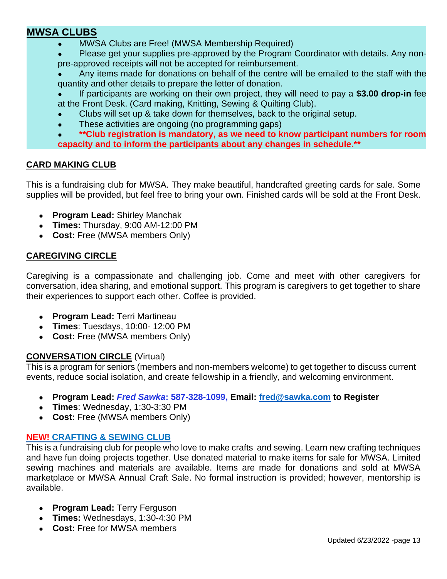# **MWSA CLUBS**

- MWSA Clubs are Free! (MWSA Membership Required)
- Please get your supplies pre-approved by the Program Coordinator with details. Any nonpre-approved receipts will not be accepted for reimbursement.
- Any items made for donations on behalf of the centre will be emailed to the staff with the quantity and other details to prepare the letter of donation.

If participants are working on their own project, they will need to pay a \$3.00 drop-in fee at the Front Desk. (Card making, Knitting, Sewing & Quilting Club).

- Clubs will set up & take down for themselves, back to the original setup.
- These activities are ongoing (no programming gaps)
- \*\*Club registration is mandatory, as we need to know participant numbers for room **capacity and to inform the participants about any changes in schedule.\*\***

# **CARD MAKING CLUB**

This is a fundraising club for MWSA. They make beautiful, handcrafted greeting cards for sale. Some supplies will be provided, but feel free to bring your own. Finished cards will be sold at the Front Desk.

- **Program Lead:** Shirley Manchak
- **Times:** Thursday, 9:00 AM-12:00 PM
- **Cost:** Free (MWSA members Only)

# **CAREGIVING CIRCLE**

Caregiving is a compassionate and challenging job. Come and meet with other caregivers for conversation, idea sharing, and emotional support. This program is caregivers to get together to share their experiences to support each other. Coffee is provided.

- **● Program Lead:** Terri Martineau
- **● Times**: Tuesdays, 10:00- 12:00 PM
- **● Cost:** Free (MWSA members Only)

#### **CONVERSATION CIRCLE** (Virtual)

This is a program for seniors (members and non-members welcome) to get together to discuss current events, reduce social isolation, and create fellowship in a friendly, and welcoming environment.

- **● Program Lead:** *Fred Sawka***: 587-328-1099, Email: [fred@sawka.com](mailto:fred@sawka.com) to Register**
- **● Times**: Wednesday, 1:30-3:30 PM
- **● Cost:** Free (MWSA members Only)

# **NEW! CRAFTING & SEWING CLUB**

This is a fundraising club for people who love to make crafts and sewing. Learn new crafting techniques and have fun doing projects together. Use donated material to make items for sale for MWSA. Limited sewing machines and materials are available. Items are made for donations and sold at MWSA marketplace or MWSA Annual Craft Sale. No formal instruction is provided; however, mentorship is available.

- **Program Lead: Terry Ferguson**
- **Times:** Wednesdays, 1:30-4:30 PM
- **Cost:** Free for MWSA members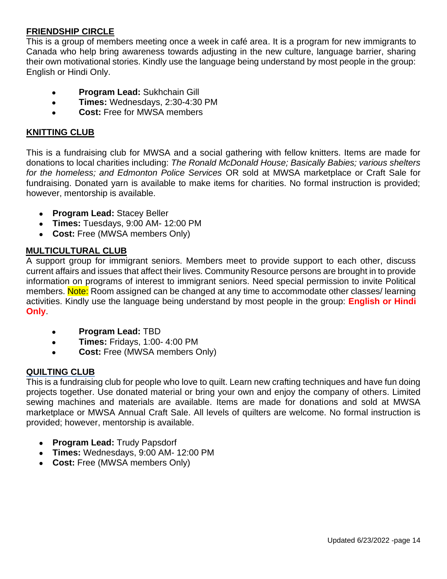# **FRIENDSHIP CIRCLE**

This is a group of members meeting once a week in café area. It is a program for new immigrants to Canada who help bring awareness towards adjusting in the new culture, language barrier, sharing their own motivational stories. Kindly use the language being understand by most people in the group: English or Hindi Only.

- **Program Lead: Sukhchain Gill**
- **Times:** Wednesdays, 2:30-4:30 PM
- **Cost:** Free for MWSA members

#### **KNITTING CLUB**

This is a fundraising club for MWSA and a social gathering with fellow knitters. Items are made for donations to local charities including: *The Ronald McDonald House; Basically Babies; various shelters for the homeless; and Edmonton Police Services* OR sold at MWSA marketplace or Craft Sale for fundraising. Donated yarn is available to make items for charities. No formal instruction is provided; however, mentorship is available.

- **Program Lead:** Stacey Beller
- **Times:** Tuesdays, 9:00 AM- 12:00 PM
- Cost: Free (MWSA members Only)

#### **MULTICULTURAL CLUB**

A support group for immigrant seniors. Members meet to provide support to each other, discuss current affairs and issues that affect their lives. Community Resource persons are brought in to provide information on programs of interest to immigrant seniors. Need special permission to invite Political members. Note: Room assigned can be changed at any time to accommodate other classes/ learning activities. Kindly use the language being understand by most people in the group: **English or Hindi Only**.

- **Program Lead:** TBD
- **Times:** Fridays, 1:00- 4:00 PM
- **Cost:** Free (MWSA members Only)

#### **QUILTING CLUB**

This is a fundraising club for people who love to quilt. Learn new crafting techniques and have fun doing projects together. Use donated material or bring your own and enjoy the company of others. Limited sewing machines and materials are available. Items are made for donations and sold at MWSA marketplace or MWSA Annual Craft Sale. All levels of quilters are welcome. No formal instruction is provided; however, mentorship is available.

- **Program Lead:** Trudy Papsdorf
- **Times:** Wednesdays, 9:00 AM- 12:00 PM
- Cost: Free (MWSA members Only)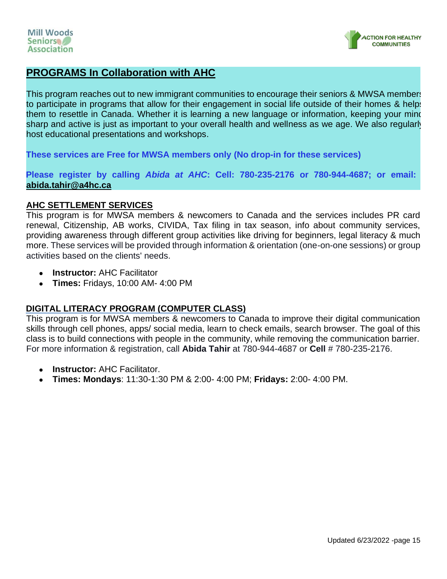

# **PROGRAMS In Collaboration with AHC**

This program reaches out to new immigrant communities to encourage their seniors & MWSA members to participate in programs that allow for their engagement in social life outside of their homes & helps them to resettle in Canada. Whether it is learning a new language or information, keeping your mind sharp and active is just as important to your overall health and wellness as we age. We also regularly host educational presentations and workshops.

**These services are Free for MWSA members only (No drop-in for these services)**

**Please register by calling** *Abida at AHC***: Cell: 780-235-2176 or 780-944-4687; or email: [abida.tahir@a4hc.ca](mailto:abida.tahir@a4hc.ca)**

#### **AHC SETTLEMENT SERVICES**

This program is for MWSA members & newcomers to Canada and the services includes PR card renewal, Citizenship, AB works, CIVIDA, Tax filing in tax season, info about community services, providing awareness through different group activities like driving for beginners, legal literacy & much more. These services will be provided through information & orientation (one-on-one sessions) or group activities based on the clients' needs.

- **Instructor:** AHC Facilitator
- **Times:** Fridays, 10:00 AM- 4:00 PM

# **DIGITAL LITERACY PROGRAM (COMPUTER CLASS)**

This program is for MWSA members & newcomers to Canada to improve their digital communication skills through cell phones, apps/ social media, learn to check emails, search browser. The goal of this class is to build connections with people in the community, while removing the communication barrier. For more information & registration, call **Abida Tahir** at 780-944-4687 or **Cell** # 780-235-2176.

- **Instructor: AHC Facilitator.**
- **Times: Mondays**: 11:30-1:30 PM & 2:00- 4:00 PM; **Fridays:** 2:00- 4:00 PM.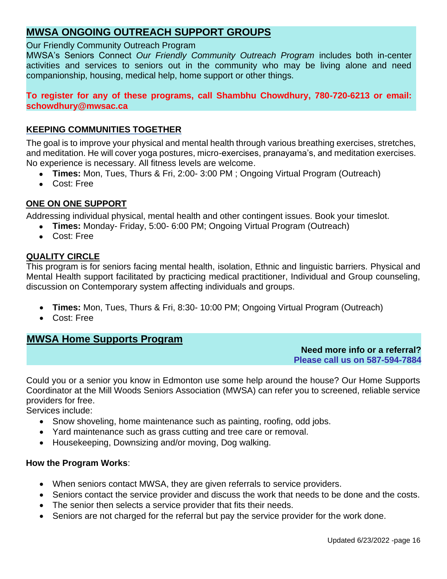# **MWSA ONGOING OUTREACH SUPPORT GROUPS**

#### Our Friendly Community Outreach Program

MWSA's Seniors Connect *Our Friendly Community Outreach Program* includes both in-center activities and services to seniors out in the community who may be living alone and need companionship, housing, medical help, home support or other things.

**To register for any of these programs, call Shambhu Chowdhury, 780-720-6213 or email: schowdhury@mwsac.ca**

# **KEEPING COMMUNITIES TOGETHER**

The goal is to improve your physical and mental health through various breathing exercises, stretches, and meditation. He will cover yoga postures, micro-exercises, pranayama's, and meditation exercises. No experience is necessary. All fitness levels are welcome.

- **Times:** Mon, Tues, Thurs & Fri, 2:00- 3:00 PM ; Ongoing Virtual Program (Outreach)
- Cost: Free

# **ONE ON ONE SUPPORT**

Addressing individual physical, mental health and other contingent issues. Book your timeslot.

- **Times:** Monday- Friday, 5:00- 6:00 PM; Ongoing Virtual Program (Outreach)
- Cost: Free

# **QUALITY CIRCLE**

This program is for seniors facing mental health, isolation, Ethnic and linguistic barriers. Physical and Mental Health support facilitated by practicing medical practitioner, Individual and Group counseling, discussion on Contemporary system affecting individuals and groups.

- **Times:** Mon, Tues, Thurs & Fri, 8:30- 10:00 PM; Ongoing Virtual Program (Outreach)
- Cost: Free

# **MWSA Home Supports Program**

 **Need more info or a referral? Please call us on 587-594-7884**

Could you or a senior you know in Edmonton use some help around the house? Our Home Supports Coordinator at the Mill Woods Seniors Association (MWSA) can refer you to screened, reliable service providers for free.

Services include:

- Snow shoveling, home maintenance such as painting, roofing, odd jobs.
- Yard maintenance such as grass cutting and tree care or removal.
- Housekeeping, Downsizing and/or moving, Dog walking.

#### **How the Program Works**:

- When seniors contact MWSA, they are given referrals to service providers.
- Seniors contact the service provider and discuss the work that needs to be done and the costs.
- The senior then selects a service provider that fits their needs.
- Seniors are not charged for the referral but pay the service provider for the work done.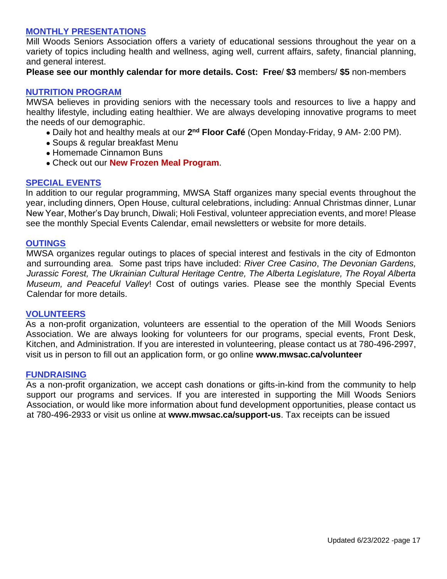#### **MONTHLY PRESENTATIONS**

Mill Woods Seniors Association offers a variety of educational sessions throughout the year on a variety of topics including health and wellness, aging well, current affairs, safety, financial planning, and general interest.

**Please see our monthly calendar for more details. Cost: Free**/ **\$3** members/ **\$5** non-members

#### **NUTRITION PROGRAM**

MWSA believes in providing seniors with the necessary tools and resources to live a happy and healthy lifestyle, including eating healthier. We are always developing innovative programs to meet the needs of our demographic.

- Daily hot and healthy meals at our **2 nd Floor Café** (Open Monday-Friday, 9 AM- 2:00 PM).
- Soups & regular breakfast Menu
- Homemade Cinnamon Buns
- Check out our **New Frozen Meal Program**.

#### **SPECIAL EVENTS**

In addition to our regular programming, MWSA Staff organizes many special events throughout the year, including dinners, Open House, cultural celebrations, including: Annual Christmas dinner, Lunar New Year, Mother's Day brunch, Diwali; Holi Festival, volunteer appreciation events, and more! Please see the monthly Special Events Calendar, email newsletters or website for more details.

#### **OUTINGS**

MWSA organizes regular outings to places of special interest and festivals in the city of Edmonton and surrounding area. Some past trips have included: *River Cree Casino*, *The Devonian Gardens, Jurassic Forest, The Ukrainian Cultural Heritage Centre, The Alberta Legislature, The Royal Alberta Museum, and Peaceful Valley*! Cost of outings varies. Please see the monthly Special Events Calendar for more details.

#### **VOLUNTEERS**

As a non-profit organization, volunteers are essential to the operation of the Mill Woods Seniors Association. We are always looking for volunteers for our programs, special events, Front Desk, Kitchen, and Administration. If you are interested in volunteering, please contact us at 780-496-2997, visit us in person to fill out an application form, or go online **www.mwsac.ca/volunteer**

#### **FUNDRAISING**

As a non-profit organization, we accept cash donations or gifts-in-kind from the community to help support our programs and services. If you are interested in supporting the Mill Woods Seniors Association, or would like more information about fund development opportunities, please contact us at 780-496-2933 or visit us online at **www.mwsac.ca/support-us**. Tax receipts can be issued